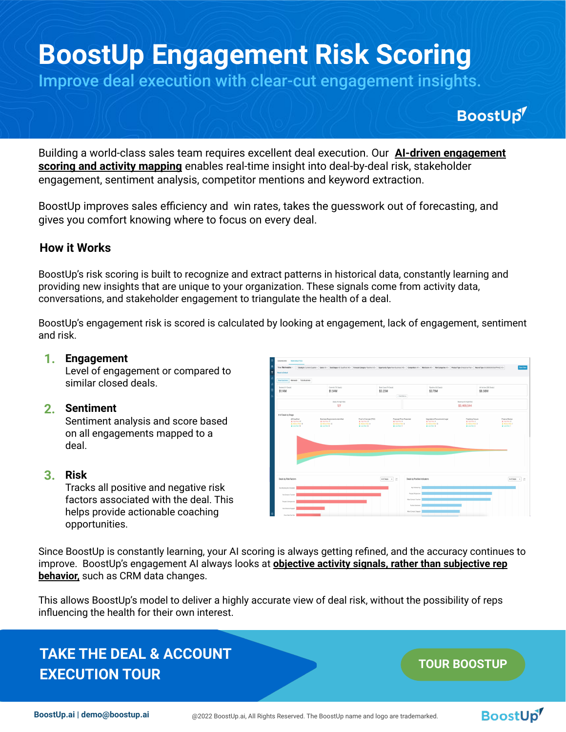# **BoostUp Engagement Risk Scoring**

Improve deal execution with clear-cut engagement insights.

# BoostUp<sup>1</sup>

Building a world-class sales team requires excellent deal execution. Our **AI-driven engagement scoring and activity mapping** enables real-time insight into deal-by-deal risk, stakeholder engagement, sentiment analysis, competitor mentions and keyword extraction.

BoostUp improves sales efficiency and win rates, takes the guesswork out of forecasting, and gives you comfort knowing where to focus on every deal.

### **How it Works**

BoostUp's risk scoring is built to recognize and extract patterns in historical data, constantly learning and providing new insights that are unique to your organization. These signals come from activity data, conversations, and stakeholder engagement to triangulate the health of a deal.

BoostUp's engagement risk is scored is calculated by looking at engagement, lack of engagement, sentiment and risk.

#### **1. Engagement**

Level of engagement or compared to similar closed deals.

#### **2. Sentiment**

Sentiment analysis and score based on all engagements mapped to a deal.

#### **3. Risk**

Tracks all positive and negative risk factors associated with the deal. This helps provide actionable coaching opportunities.



Since BoostUp is constantly learning, your AI scoring is always getting refined, and the accuracy continues to improve. BoostUp's engagement AI always looks at **objective activity signals, rather than subjective rep behavior,** such as CRM data changes.

This allows BoostUp's model to deliver a highly accurate view of deal risk, without the possibility of reps influencing the health for their own interest.

# **[TAKE THE DEAL & ACCOUNT](https://tours.boostup.ai/deal-and-account-execution)  EXECUTION TOUR**

## **[TOUR BOOSTUP](https://tours.boostup.ai/smart-rollups)**

BoostUp